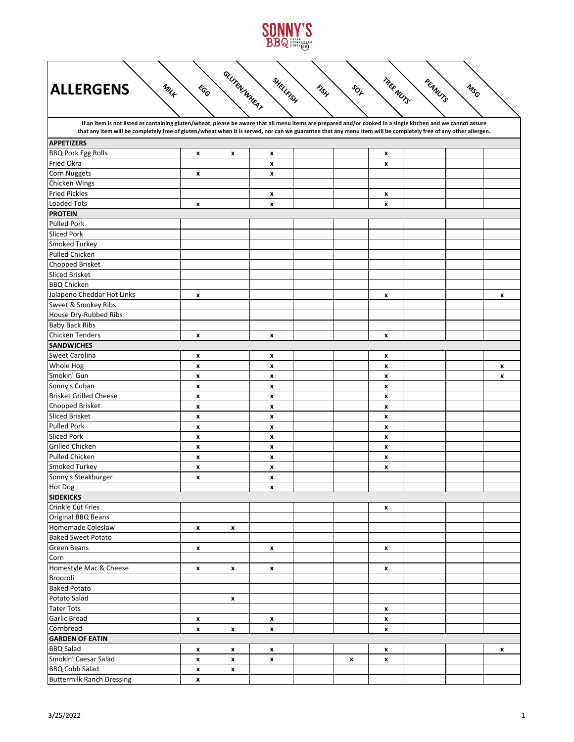

| <b>LERGENS</b><br>ΔI | $\frac{1}{2}$ | ${}^{\mathcal{O}_{\!\!K\!}\!V_{\!\scriptscriptstyle\!K\!X}}$<br><b>૽ૼ</b> | ENJWHEAT | SHE.<br><b>ANY</b> | <b>TSK</b> | $\mathcal{S}_{\mathcal{O}_{\mathcal{L}}}$ | TREF<br>$v_{\mathcal{U}_{\mathbf{x}}}$ | PEANUX | NSC |  |
|----------------------|---------------|---------------------------------------------------------------------------|----------|--------------------|------------|-------------------------------------------|----------------------------------------|--------|-----|--|
|                      |               |                                                                           |          |                    |            |                                           |                                        |        |     |  |

**If an item is not listed as containing gluten/wheat, please be aware that all menu items are prepared and/or cooked in a single kitchen and we cannot assure that any item will be completely free of gluten/wheat when it is served, nor can we guarantee that any menu item will be completely free of any other allergen.**

| and any nem we completely nee or glacen, wheat when it is served, nor can we gaarantee that any mena item win we completely nee or any other ancigent |                    |                    |                    |   |                    |  |   |
|-------------------------------------------------------------------------------------------------------------------------------------------------------|--------------------|--------------------|--------------------|---|--------------------|--|---|
| <b>APPETIZERS</b>                                                                                                                                     |                    |                    |                    |   |                    |  |   |
| <b>BBQ Pork Egg Rolls</b>                                                                                                                             | $\pmb{\mathsf{x}}$ | x                  | x                  |   | x                  |  |   |
| <b>Fried Okra</b>                                                                                                                                     |                    |                    | $\pmb{\mathsf{x}}$ |   | x                  |  |   |
| Corn Nuggets                                                                                                                                          | $\pmb{\mathsf{x}}$ |                    | $\pmb{\mathsf{x}}$ |   |                    |  |   |
| Chicken Wings                                                                                                                                         |                    |                    |                    |   |                    |  |   |
| <b>Fried Pickles</b>                                                                                                                                  |                    |                    | x                  |   | x                  |  |   |
| <b>Loaded Tots</b>                                                                                                                                    | $\pmb{\mathsf{x}}$ |                    | x                  |   | x                  |  |   |
| <b>PROTEIN</b>                                                                                                                                        |                    |                    |                    |   |                    |  |   |
| <b>Pulled Pork</b>                                                                                                                                    |                    |                    |                    |   |                    |  |   |
| <b>Sliced Pork</b>                                                                                                                                    |                    |                    |                    |   |                    |  |   |
| Smoked Turkey                                                                                                                                         |                    |                    |                    |   |                    |  |   |
| <b>Pulled Chicken</b>                                                                                                                                 |                    |                    |                    |   |                    |  |   |
| Chopped Brisket                                                                                                                                       |                    |                    |                    |   |                    |  |   |
| <b>Sliced Brisket</b>                                                                                                                                 |                    |                    |                    |   |                    |  |   |
| <b>BBQ Chicken</b>                                                                                                                                    |                    |                    |                    |   |                    |  |   |
| Jalapeno Cheddar Hot Links                                                                                                                            | x                  |                    |                    |   | x                  |  | x |
| Sweet & Smokey Ribs                                                                                                                                   |                    |                    |                    |   |                    |  |   |
| House Dry-Rubbed Ribs                                                                                                                                 |                    |                    |                    |   |                    |  |   |
| <b>Baby Back Ribs</b>                                                                                                                                 |                    |                    |                    |   |                    |  |   |
| Chicken Tenders                                                                                                                                       | x                  |                    | x                  |   | x                  |  |   |
| <b>SANDWICHES</b>                                                                                                                                     |                    |                    |                    |   |                    |  |   |
| Sweet Carolina                                                                                                                                        | $\pmb{\mathsf{x}}$ |                    | x                  |   | x                  |  |   |
| Whole Hog                                                                                                                                             | $\pmb{\mathsf{x}}$ |                    | x                  |   | $\pmb{\mathsf{x}}$ |  | x |
| Smokin' Gun                                                                                                                                           | $\pmb{\mathsf{x}}$ |                    | $\pmb{\mathsf{x}}$ |   | x                  |  | x |
| Sonny's Cuban                                                                                                                                         | $\pmb{\mathsf{x}}$ |                    | x                  |   | x                  |  |   |
| <b>Brisket Grilled Cheese</b>                                                                                                                         | $\pmb{\mathsf{x}}$ |                    | $\pmb{\mathsf{x}}$ |   | x                  |  |   |
| Chopped Brisket                                                                                                                                       | $\pmb{\mathsf{x}}$ |                    | $\pmb{\mathsf{x}}$ |   | $\pmb{\mathsf{x}}$ |  |   |
| <b>Sliced Brisket</b>                                                                                                                                 | x                  |                    | $\pmb{\mathsf{x}}$ |   | x                  |  |   |
| <b>Pulled Pork</b>                                                                                                                                    | $\pmb{\mathsf{x}}$ |                    | $\pmb{\mathsf{x}}$ |   | x                  |  |   |
| <b>Sliced Pork</b>                                                                                                                                    | $\pmb{\mathsf{x}}$ |                    | $\pmb{\mathsf{x}}$ |   | x                  |  |   |
| <b>Grilled Chicken</b>                                                                                                                                | $\pmb{\mathsf{x}}$ |                    | x                  |   | x                  |  |   |
| <b>Pulled Chicken</b>                                                                                                                                 | $\pmb{\mathsf{x}}$ |                    | $\pmb{\mathsf{x}}$ |   | x                  |  |   |
| Smoked Turkey                                                                                                                                         | $\pmb{\mathsf{x}}$ |                    | x                  |   | x                  |  |   |
| Sonny's Steakburger                                                                                                                                   | $\pmb{\mathsf{x}}$ |                    | $\pmb{\mathsf{x}}$ |   |                    |  |   |
| Hot Dog                                                                                                                                               |                    |                    | $\pmb{\mathsf{x}}$ |   |                    |  |   |
| <b>SIDEKICKS</b>                                                                                                                                      |                    |                    |                    |   |                    |  |   |
| <b>Crinkle Cut Fries</b>                                                                                                                              |                    |                    |                    |   | x                  |  |   |
| Original BBQ Beans                                                                                                                                    |                    |                    |                    |   |                    |  |   |
| Homemade Coleslaw                                                                                                                                     | x                  | $\pmb{\mathsf{x}}$ |                    |   |                    |  |   |
| <b>Baked Sweet Potato</b>                                                                                                                             |                    |                    |                    |   |                    |  |   |
| Green Beans                                                                                                                                           | x                  |                    | x                  |   | x                  |  |   |
| Corn                                                                                                                                                  |                    |                    |                    |   |                    |  |   |
| Homestyle Mac & Cheese                                                                                                                                | X                  | X                  | x                  |   | x                  |  |   |
| Broccoli                                                                                                                                              |                    |                    |                    |   |                    |  |   |
| <b>Baked Potato</b>                                                                                                                                   |                    |                    |                    |   |                    |  |   |
| Potato Salad                                                                                                                                          |                    | x                  |                    |   |                    |  |   |
| <b>Tater Tots</b>                                                                                                                                     |                    |                    |                    |   | x                  |  |   |
| <b>Garlic Bread</b>                                                                                                                                   | x                  |                    | x                  |   | x                  |  |   |
| Cornbread                                                                                                                                             | X                  | x                  | x                  |   | x                  |  |   |
| <b>GARDEN OF EATIN</b>                                                                                                                                |                    |                    |                    |   |                    |  |   |
| <b>BBQ Salad</b>                                                                                                                                      | x                  | x                  | x                  |   | x                  |  | x |
| Smokin' Caesar Salad                                                                                                                                  | x                  | x                  | x                  | x | x                  |  |   |
| <b>BBQ Cobb Salad</b>                                                                                                                                 | X                  | x                  |                    |   |                    |  |   |
| <b>Buttermilk Ranch Dressing</b>                                                                                                                      | x                  |                    |                    |   |                    |  |   |
|                                                                                                                                                       |                    |                    |                    |   |                    |  |   |